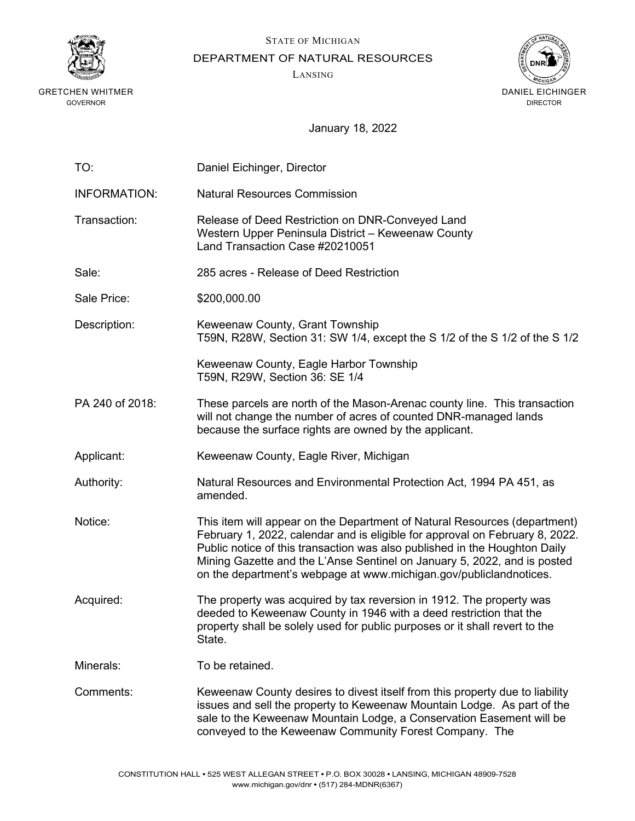

GRETCHEN WHITMER GOVERNOR

STATE OF MICHIGAN

DEPARTMENT OF NATURAL RESOURCES

LANSING



January 18, 2022

| TO:                 | Daniel Eichinger, Director                                                                                                                                                                                                                                                                                                                                                                |
|---------------------|-------------------------------------------------------------------------------------------------------------------------------------------------------------------------------------------------------------------------------------------------------------------------------------------------------------------------------------------------------------------------------------------|
| <b>INFORMATION:</b> | <b>Natural Resources Commission</b>                                                                                                                                                                                                                                                                                                                                                       |
| Transaction:        | Release of Deed Restriction on DNR-Conveyed Land<br>Western Upper Peninsula District - Keweenaw County<br>Land Transaction Case #20210051                                                                                                                                                                                                                                                 |
| Sale:               | 285 acres - Release of Deed Restriction                                                                                                                                                                                                                                                                                                                                                   |
| Sale Price:         | \$200,000.00                                                                                                                                                                                                                                                                                                                                                                              |
| Description:        | Keweenaw County, Grant Township<br>T59N, R28W, Section 31: SW 1/4, except the S 1/2 of the S 1/2 of the S 1/2                                                                                                                                                                                                                                                                             |
|                     | Keweenaw County, Eagle Harbor Township<br>T59N, R29W, Section 36: SE 1/4                                                                                                                                                                                                                                                                                                                  |
| PA 240 of 2018:     | These parcels are north of the Mason-Arenac county line. This transaction<br>will not change the number of acres of counted DNR-managed lands<br>because the surface rights are owned by the applicant.                                                                                                                                                                                   |
| Applicant:          | Keweenaw County, Eagle River, Michigan                                                                                                                                                                                                                                                                                                                                                    |
| Authority:          | Natural Resources and Environmental Protection Act, 1994 PA 451, as<br>amended.                                                                                                                                                                                                                                                                                                           |
| Notice:             | This item will appear on the Department of Natural Resources (department)<br>February 1, 2022, calendar and is eligible for approval on February 8, 2022.<br>Public notice of this transaction was also published in the Houghton Daily<br>Mining Gazette and the L'Anse Sentinel on January 5, 2022, and is posted<br>on the department's webpage at www.michigan.gov/publiclandnotices. |
| Acquired:           | The property was acquired by tax reversion in 1912. The property was<br>deeded to Keweenaw County in 1946 with a deed restriction that the<br>property shall be solely used for public purposes or it shall revert to the<br>State.                                                                                                                                                       |
| Minerals:           | To be retained.                                                                                                                                                                                                                                                                                                                                                                           |
| Comments:           | Keweenaw County desires to divest itself from this property due to liability<br>issues and sell the property to Keweenaw Mountain Lodge. As part of the<br>sale to the Keweenaw Mountain Lodge, a Conservation Easement will be<br>conveyed to the Keweenaw Community Forest Company. The                                                                                                 |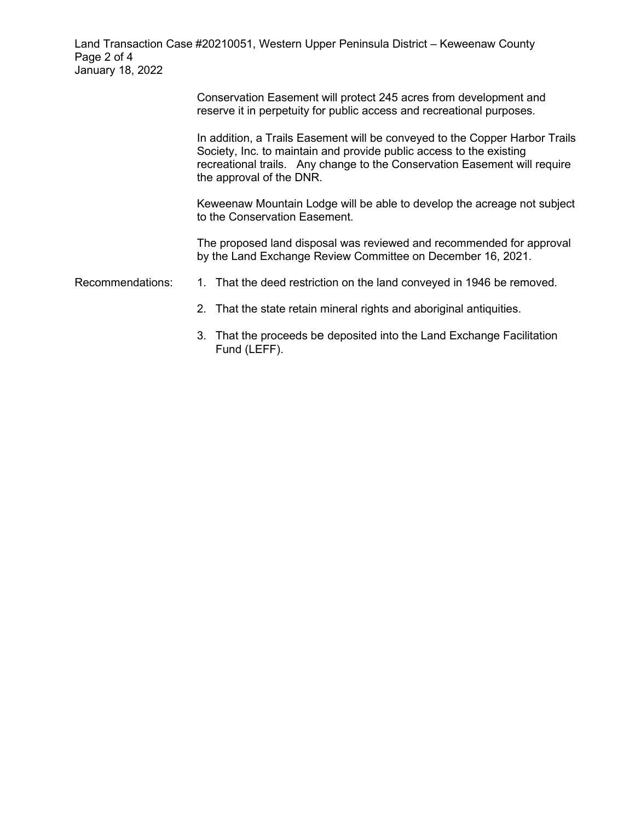Land Transaction Case #20210051, Western Upper Peninsula District – Keweenaw County Page 2 of 4 January 18, 2022

> Conservation Easement will protect 245 acres from development and reserve it in perpetuity for public access and recreational purposes.

In addition, a Trails Easement will be conveyed to the Copper Harbor Trails Society, Inc. to maintain and provide public access to the existing recreational trails. Any change to the Conservation Easement will require the approval of the DNR.

Keweenaw Mountain Lodge will be able to develop the acreage not subject to the Conservation Easement.

The proposed land disposal was reviewed and recommended for approval by the Land Exchange Review Committee on December 16, 2021.

Recommendations: 1. That the deed restriction on the land conveyed in 1946 be removed.

- 2. That the state retain mineral rights and aboriginal antiquities.
- 3. That the proceeds be deposited into the Land Exchange Facilitation Fund (LEFF).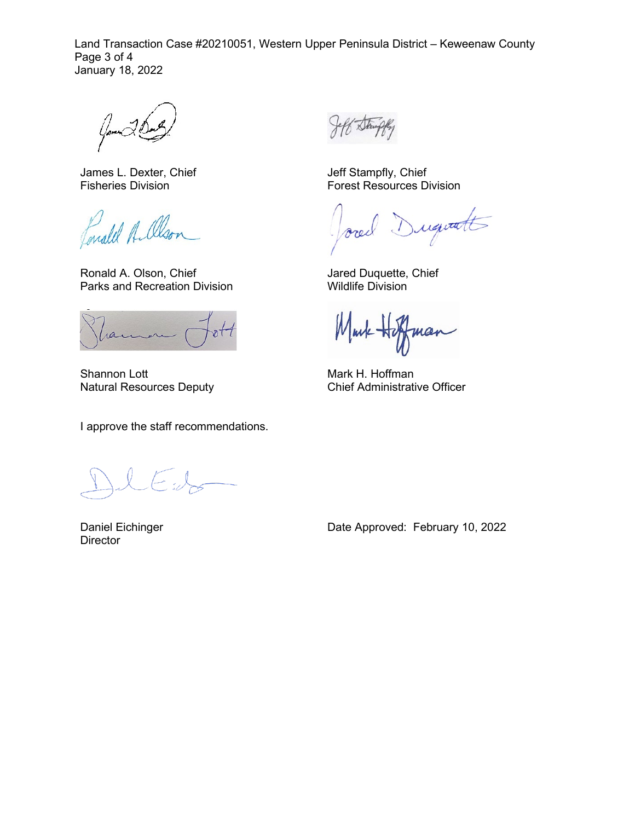Land Transaction Case #20210051, Western Upper Peninsula District – Keweenaw County Page 3 of 4 January 18, 2022

James L. Dexter, Chief Fisheries Division

Lonald Allson

Ronald A. Olson, Chief Parks and Recreation Division

ran

Shannon Lott Natural Resources Deputy

I approve the staff recommendations.

 $\leftarrow$  .  $\downarrow$ 

Daniel Eichinger **Director** 

Jeff Stampfly, Chief Forest Resources Division

Duquatt ore

Jared Duquette, Chief Wildlife Division

Markmar

Mark H. Hoffman Chief Administrative Officer

Date Approved: February 10, 2022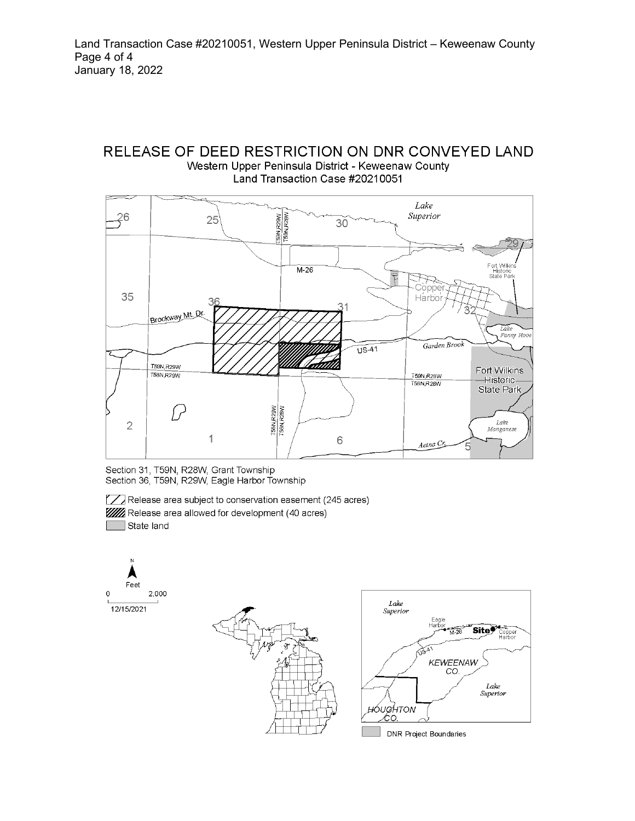# RELEASE OF DEED RESTRICTION ON DNR CONVEYED LAND Western Upper Peninsula District - Keweenaw County Land Transaction Case #20210051



Section 31, T59N, R28W, Grant Township Section 36, T59N, R29W, Eagle Harbor Township

Release area subject to conservation easement (245 acres) **WA** Release area allowed for development (40 acres) State land

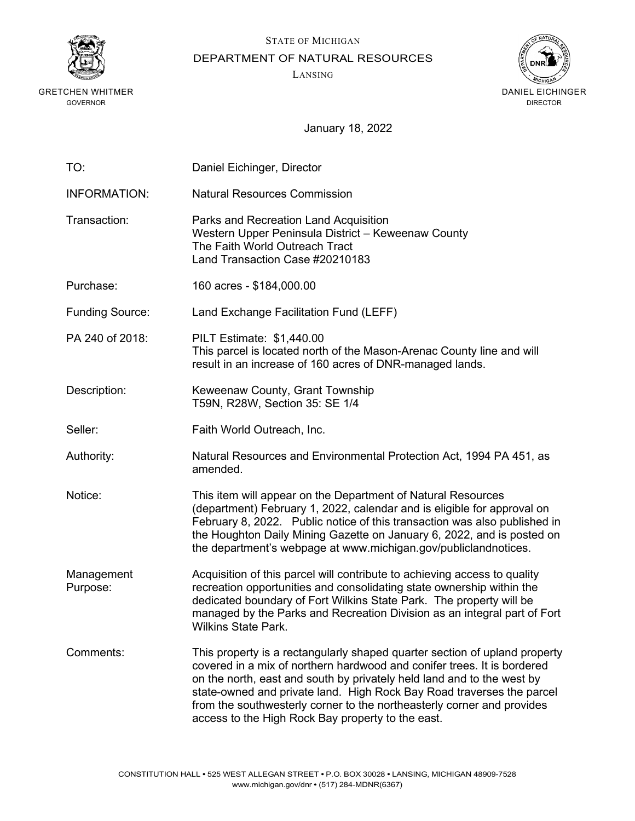

GRETCHEN WHITMER GOVERNOR

STATE OF MICHIGAN

DEPARTMENT OF NATURAL RESOURCES

LANSING



January 18, 2022

| TO:                    | Daniel Eichinger, Director                                                                                                                                                                                                                                                                                                                                                                                                              |
|------------------------|-----------------------------------------------------------------------------------------------------------------------------------------------------------------------------------------------------------------------------------------------------------------------------------------------------------------------------------------------------------------------------------------------------------------------------------------|
| <b>INFORMATION:</b>    | <b>Natural Resources Commission</b>                                                                                                                                                                                                                                                                                                                                                                                                     |
| Transaction:           | Parks and Recreation Land Acquisition<br>Western Upper Peninsula District - Keweenaw County<br>The Faith World Outreach Tract<br>Land Transaction Case #20210183                                                                                                                                                                                                                                                                        |
| Purchase:              | 160 acres - \$184,000.00                                                                                                                                                                                                                                                                                                                                                                                                                |
| <b>Funding Source:</b> | Land Exchange Facilitation Fund (LEFF)                                                                                                                                                                                                                                                                                                                                                                                                  |
| PA 240 of 2018:        | <b>PILT Estimate: \$1,440.00</b><br>This parcel is located north of the Mason-Arenac County line and will<br>result in an increase of 160 acres of DNR-managed lands.                                                                                                                                                                                                                                                                   |
| Description:           | Keweenaw County, Grant Township<br>T59N, R28W, Section 35: SE 1/4                                                                                                                                                                                                                                                                                                                                                                       |
| Seller:                | Faith World Outreach, Inc.                                                                                                                                                                                                                                                                                                                                                                                                              |
| Authority:             | Natural Resources and Environmental Protection Act, 1994 PA 451, as<br>amended.                                                                                                                                                                                                                                                                                                                                                         |
| Notice:                | This item will appear on the Department of Natural Resources<br>(department) February 1, 2022, calendar and is eligible for approval on<br>February 8, 2022. Public notice of this transaction was also published in<br>the Houghton Daily Mining Gazette on January 6, 2022, and is posted on<br>the department's webpage at www.michigan.gov/publiclandnotices.                                                                       |
| Management<br>Purpose: | Acquisition of this parcel will contribute to achieving access to quality<br>recreation opportunities and consolidating state ownership within the<br>dedicated boundary of Fort Wilkins State Park. The property will be<br>managed by the Parks and Recreation Division as an integral part of Fort<br><b>Wilkins State Park.</b>                                                                                                     |
| Comments:              | This property is a rectangularly shaped quarter section of upland property<br>covered in a mix of northern hardwood and conifer trees. It is bordered<br>on the north, east and south by privately held land and to the west by<br>state-owned and private land. High Rock Bay Road traverses the parcel<br>from the southwesterly corner to the northeasterly corner and provides<br>access to the High Rock Bay property to the east. |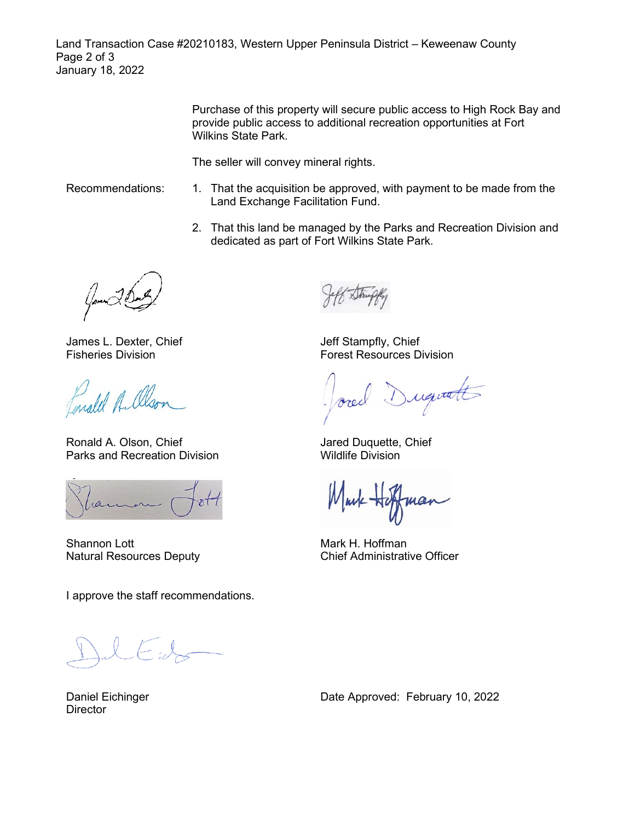Land Transaction Case #20210183, Western Upper Peninsula District – Keweenaw County Page 2 of 3 January 18, 2022

> Purchase of this property will secure public access to High Rock Bay and provide public access to additional recreation opportunities at Fort Wilkins State Park.

The seller will convey mineral rights.

- Recommendations: 1. That the acquisition be approved, with payment to be made from the Land Exchange Facilitation Fund.
	- 2. That this land be managed by the Parks and Recreation Division and dedicated as part of Fort Wilkins State Park.

James L. Dexter, Chief Fisheries Division

Ponald A. Olso

Ronald A. Olson, Chief Parks and Recreation Division

Shannon Lott Natural Resources Deputy

I approve the staff recommendations.

Jeff Stampfly, Chief Forest Resources Division

requests

Jared Duquette, Chief Wildlife Division

Murk High mar

Mark H. Hoffman Chief Administrative Officer

Daniel Eichinger **Director** 

Date Approved: February 10, 2022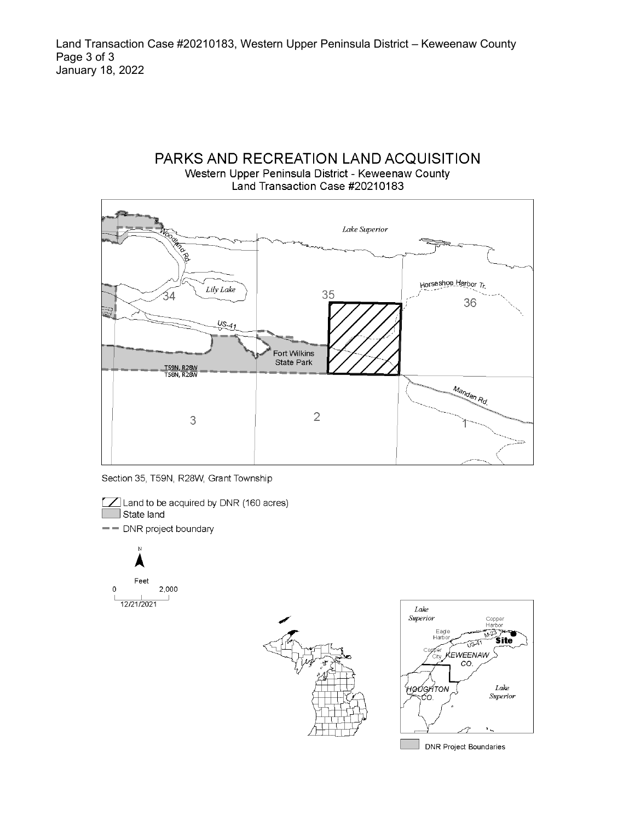Land Transaction Case #20210183, Western Upper Peninsula District – Keweenaw County Page 3 of 3 January 18, 2022

# PARKS AND RECREATION LAND ACQUISITION Western Upper Peninsula District - Keweenaw County Land Transaction Case #20210183



Section 35, T59N, R28W, Grant Township

[7] Land to be acquired by DNR (160 acres) State land - DNR project boundary







DNR Project Boundaries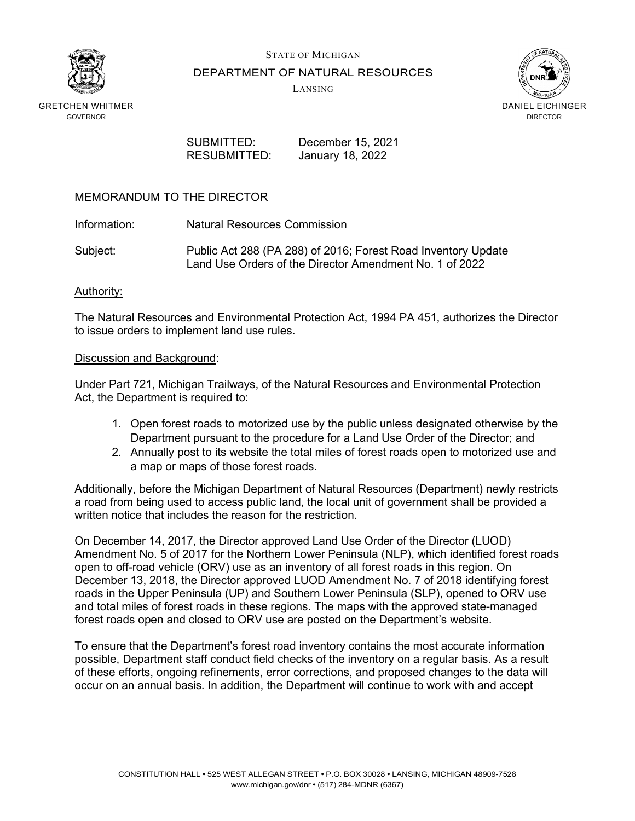

STATE OF MICHIGAN DEPARTMENT OF NATURAL RESOURCES

LANSING



RESUBMITTED: January 18, 2022

SUBMITTED: December 15, 2021

### MEMORANDUM TO THE DIRECTOR

Information: Natural Resources Commission

Subject: Public Act 288 (PA 288) of 2016; Forest Road Inventory Update Land Use Orders of the Director Amendment No. 1 of 2022

#### Authority:

The Natural Resources and Environmental Protection Act, 1994 PA 451, authorizes the Director to issue orders to implement land use rules.

#### Discussion and Background:

Under Part 721, Michigan Trailways, of the Natural Resources and Environmental Protection Act, the Department is required to:

- 1. Open forest roads to motorized use by the public unless designated otherwise by the Department pursuant to the procedure for a Land Use Order of the Director; and
- 2. Annually post to its website the total miles of forest roads open to motorized use and a map or maps of those forest roads.

Additionally, before the Michigan Department of Natural Resources (Department) newly restricts a road from being used to access public land, the local unit of government shall be provided a written notice that includes the reason for the restriction.

On December 14, 2017, the Director approved Land Use Order of the Director (LUOD) Amendment No. 5 of 2017 for the Northern Lower Peninsula (NLP), which identified forest roads open to off-road vehicle (ORV) use as an inventory of all forest roads in this region. On December 13, 2018, the Director approved LUOD Amendment No. 7 of 2018 identifying forest roads in the Upper Peninsula (UP) and Southern Lower Peninsula (SLP), opened to ORV use and total miles of forest roads in these regions. The maps with the approved state-managed forest roads open and closed to ORV use are posted on the Department's website.

To ensure that the Department's forest road inventory contains the most accurate information possible, Department staff conduct field checks of the inventory on a regular basis. As a result of these efforts, ongoing refinements, error corrections, and proposed changes to the data will occur on an annual basis. In addition, the Department will continue to work with and accept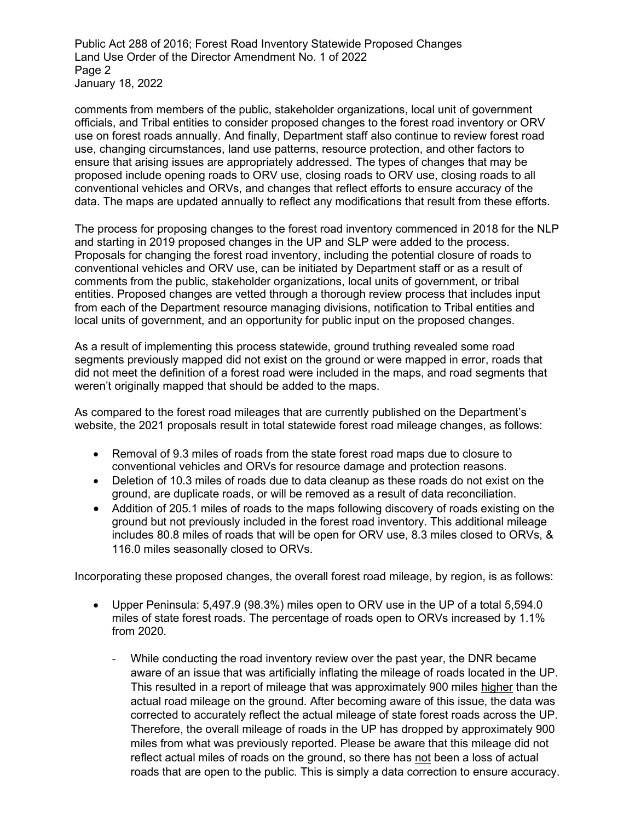Public Act 288 of 2016; Forest Road Inventory Statewide Proposed Changes Land Use Order of the Director Amendment No. 1 of 2022 Page 2 January 18, 2022

comments from members of the public, stakeholder organizations, local unit of government officials, and Tribal entities to consider proposed changes to the forest road inventory or ORV use on forest roads annually. And finally, Department staff also continue to review forest road use, changing circumstances, land use patterns, resource protection, and other factors to ensure that arising issues are appropriately addressed. The types of changes that may be proposed include opening roads to ORV use, closing roads to ORV use, closing roads to all conventional vehicles and ORVs, and changes that reflect efforts to ensure accuracy of the data. The maps are updated annually to reflect any modifications that result from these efforts.

The process for proposing changes to the forest road inventory commenced in 2018 for the NLP and starting in 2019 proposed changes in the UP and SLP were added to the process. Proposals for changing the forest road inventory, including the potential closure of roads to conventional vehicles and ORV use, can be initiated by Department staff or as a result of comments from the public, stakeholder organizations, local units of government, or tribal entities. Proposed changes are vetted through a thorough review process that includes input from each of the Department resource managing divisions, notification to Tribal entities and local units of government, and an opportunity for public input on the proposed changes.

As a result of implementing this process statewide, ground truthing revealed some road segments previously mapped did not exist on the ground or were mapped in error, roads that did not meet the definition of a forest road were included in the maps, and road segments that weren't originally mapped that should be added to the maps.

As compared to the forest road mileages that are currently published on the Department's website, the 2021 proposals result in total statewide forest road mileage changes, as follows:

- Removal of 9.3 miles of roads from the state forest road maps due to closure to conventional vehicles and ORVs for resource damage and protection reasons.
- Deletion of 10.3 miles of roads due to data cleanup as these roads do not exist on the ground, are duplicate roads, or will be removed as a result of data reconciliation.
- Addition of 205.1 miles of roads to the maps following discovery of roads existing on the ground but not previously included in the forest road inventory. This additional mileage includes 80.8 miles of roads that will be open for ORV use, 8.3 miles closed to ORVs, & 116.0 miles seasonally closed to ORVs.

Incorporating these proposed changes, the overall forest road mileage, by region, is as follows:

- Upper Peninsula: 5,497.9 (98.3%) miles open to ORV use in the UP of a total 5,594.0 miles of state forest roads. The percentage of roads open to ORVs increased by 1.1% from 2020.
	- While conducting the road inventory review over the past year, the DNR became aware of an issue that was artificially inflating the mileage of roads located in the UP. This resulted in a report of mileage that was approximately 900 miles higher than the actual road mileage on the ground. After becoming aware of this issue, the data was corrected to accurately reflect the actual mileage of state forest roads across the UP. Therefore, the overall mileage of roads in the UP has dropped by approximately 900 miles from what was previously reported. Please be aware that this mileage did not reflect actual miles of roads on the ground, so there has not been a loss of actual roads that are open to the public. This is simply a data correction to ensure accuracy.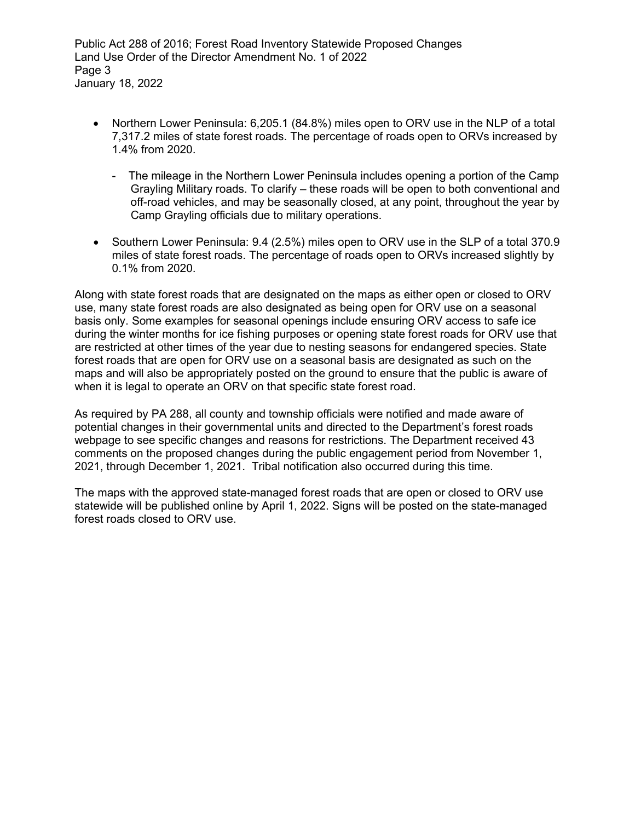Public Act 288 of 2016; Forest Road Inventory Statewide Proposed Changes Land Use Order of the Director Amendment No. 1 of 2022 Page 3 January 18, 2022

- Northern Lower Peninsula: 6,205.1 (84.8%) miles open to ORV use in the NLP of a total 7,317.2 miles of state forest roads. The percentage of roads open to ORVs increased by 1.4% from 2020.
	- The mileage in the Northern Lower Peninsula includes opening a portion of the Camp Grayling Military roads. To clarify – these roads will be open to both conventional and off-road vehicles, and may be seasonally closed, at any point, throughout the year by Camp Grayling officials due to military operations.
- Southern Lower Peninsula: 9.4 (2.5%) miles open to ORV use in the SLP of a total 370.9 miles of state forest roads. The percentage of roads open to ORVs increased slightly by 0.1% from 2020.

Along with state forest roads that are designated on the maps as either open or closed to ORV use, many state forest roads are also designated as being open for ORV use on a seasonal basis only. Some examples for seasonal openings include ensuring ORV access to safe ice during the winter months for ice fishing purposes or opening state forest roads for ORV use that are restricted at other times of the year due to nesting seasons for endangered species. State forest roads that are open for ORV use on a seasonal basis are designated as such on the maps and will also be appropriately posted on the ground to ensure that the public is aware of when it is legal to operate an ORV on that specific state forest road.

As required by PA 288, all county and township officials were notified and made aware of potential changes in their governmental units and directed to the Department's forest roads webpage to see specific changes and reasons for restrictions. The Department received 43 comments on the proposed changes during the public engagement period from November 1, 2021, through December 1, 2021. Tribal notification also occurred during this time.

The maps with the approved state-managed forest roads that are open or closed to ORV use statewide will be published online by April 1, 2022. Signs will be posted on the state-managed forest roads closed to ORV use.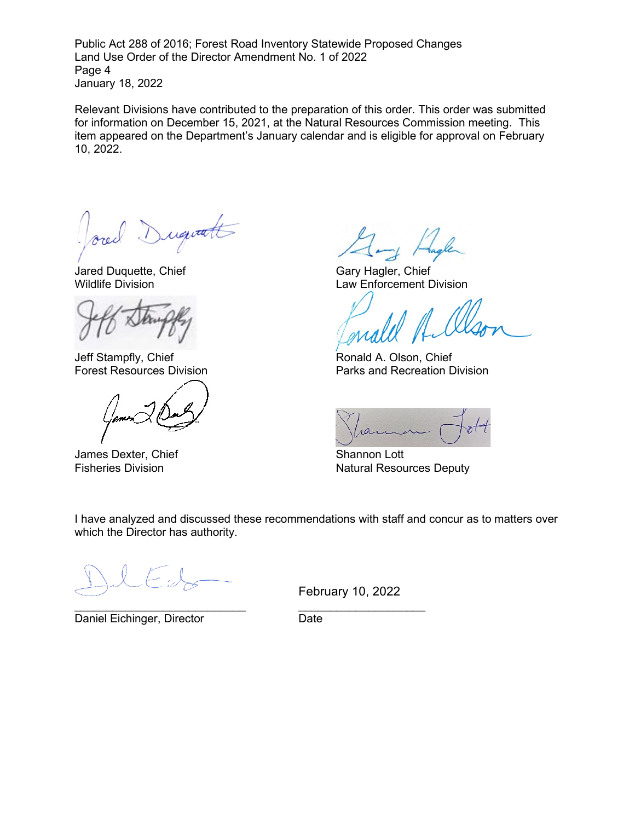Public Act 288 of 2016; Forest Road Inventory Statewide Proposed Changes Land Use Order of the Director Amendment No. 1 of 2022 Page 4 January 18, 2022

Relevant Divisions have contributed to the preparation of this order. This order was submitted for information on December 15, 2021, at the Natural Resources Commission meeting. This item appeared on the Department's January calendar and is eligible for approval on February 10, 2022.

Duquatt

Jared Duquette, Chief Gary Hagler, Chief

Jeff Stampfly, Chief and School and School Ronald A. Olson, Chief Forest Resources Division

James Dexter, Chief Shannon Lott

Wildlife Division Law Enforcement Division

Parks and Recreation Division

Fisheries Division **Natural Resources Deputy** Natural Resources Deputy

I have analyzed and discussed these recommendations with staff and concur as to matters over which the Director has authority.

\_\_\_\_\_\_\_\_\_\_\_\_\_\_\_\_\_\_\_\_\_\_\_\_\_\_\_ \_\_\_\_\_\_\_\_\_\_\_\_\_\_\_\_\_\_\_\_ Daniel Eichinger, Director **Date** Date

February 10, 2022